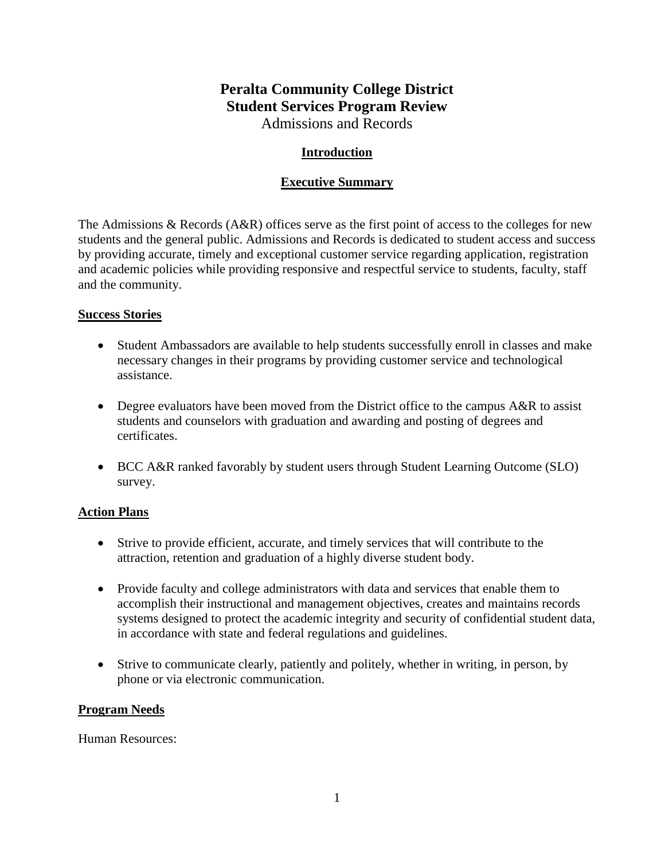# **Peralta Community College District Student Services Program Review** Admissions and Records

### **Introduction**

### **Executive Summary**

The Admissions & Records (A&R) offices serve as the first point of access to the colleges for new students and the general public. Admissions and Records is dedicated to student access and success by providing accurate, timely and exceptional customer service regarding application, registration and academic policies while providing responsive and respectful service to students, faculty, staff and the community.

#### **Success Stories**

- Student Ambassadors are available to help students successfully enroll in classes and make necessary changes in their programs by providing customer service and technological assistance.
- Degree evaluators have been moved from the District office to the campus A&R to assist students and counselors with graduation and awarding and posting of degrees and certificates.
- BCC A&R ranked favorably by student users through Student Learning Outcome (SLO) survey.

#### **Action Plans**

- Strive to provide efficient, accurate, and timely services that will contribute to the attraction, retention and graduation of a highly diverse student body.
- Provide faculty and college administrators with data and services that enable them to accomplish their instructional and management objectives, creates and maintains records systems designed to protect the academic integrity and security of confidential student data, in accordance with state and federal regulations and guidelines.
- Strive to communicate clearly, patiently and politely, whether in writing, in person, by phone or via electronic communication.

#### **Program Needs**

Human Resources: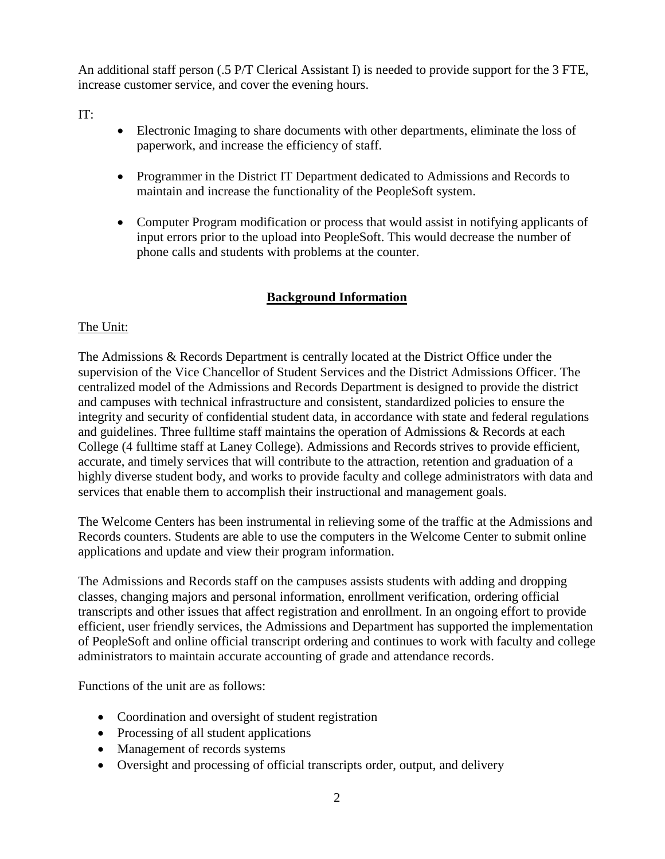An additional staff person (.5 P/T Clerical Assistant I) is needed to provide support for the 3 FTE, increase customer service, and cover the evening hours.

IT:

- Electronic Imaging to share documents with other departments, eliminate the loss of paperwork, and increase the efficiency of staff.
- Programmer in the District IT Department dedicated to Admissions and Records to maintain and increase the functionality of the PeopleSoft system.
- Computer Program modification or process that would assist in notifying applicants of input errors prior to the upload into PeopleSoft. This would decrease the number of phone calls and students with problems at the counter.

# **Background Information**

# The Unit:

The Admissions & Records Department is centrally located at the District Office under the supervision of the Vice Chancellor of Student Services and the District Admissions Officer. The centralized model of the Admissions and Records Department is designed to provide the district and campuses with technical infrastructure and consistent, standardized policies to ensure the integrity and security of confidential student data, in accordance with state and federal regulations and guidelines. Three fulltime staff maintains the operation of Admissions & Records at each College (4 fulltime staff at Laney College). Admissions and Records strives to provide efficient, accurate, and timely services that will contribute to the attraction, retention and graduation of a highly diverse student body, and works to provide faculty and college administrators with data and services that enable them to accomplish their instructional and management goals.

The Welcome Centers has been instrumental in relieving some of the traffic at the Admissions and Records counters. Students are able to use the computers in the Welcome Center to submit online applications and update and view their program information.

The Admissions and Records staff on the campuses assists students with adding and dropping classes, changing majors and personal information, enrollment verification, ordering official transcripts and other issues that affect registration and enrollment. In an ongoing effort to provide efficient, user friendly services, the Admissions and Department has supported the implementation of PeopleSoft and online official transcript ordering and continues to work with faculty and college administrators to maintain accurate accounting of grade and attendance records.

Functions of the unit are as follows:

- Coordination and oversight of student registration
- Processing of all student applications
- Management of records systems
- Oversight and processing of official transcripts order, output, and delivery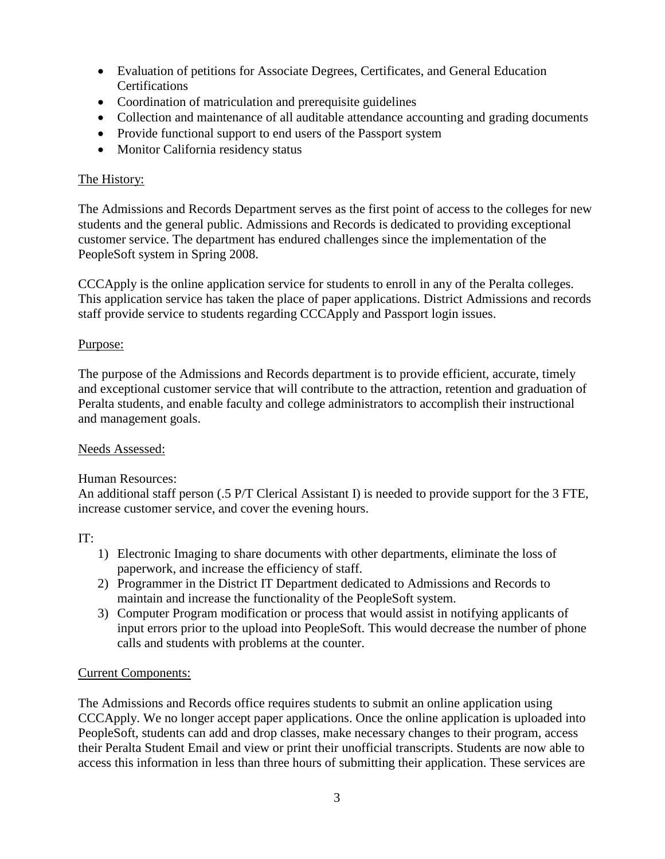- Evaluation of petitions for Associate Degrees, Certificates, and General Education Certifications
- Coordination of matriculation and prerequisite guidelines
- Collection and maintenance of all auditable attendance accounting and grading documents
- Provide functional support to end users of the Passport system
- Monitor California residency status

## The History:

The Admissions and Records Department serves as the first point of access to the colleges for new students and the general public. Admissions and Records is dedicated to providing exceptional customer service. The department has endured challenges since the implementation of the PeopleSoft system in Spring 2008.

CCCApply is the online application service for students to enroll in any of the Peralta colleges. This application service has taken the place of paper applications. District Admissions and records staff provide service to students regarding CCCApply and Passport login issues.

### Purpose:

The purpose of the Admissions and Records department is to provide efficient, accurate, timely and exceptional customer service that will contribute to the attraction, retention and graduation of Peralta students, and enable faculty and college administrators to accomplish their instructional and management goals.

#### Needs Assessed:

#### Human Resources:

An additional staff person (.5 P/T Clerical Assistant I) is needed to provide support for the 3 FTE, increase customer service, and cover the evening hours.

#### IT:

- 1) Electronic Imaging to share documents with other departments, eliminate the loss of paperwork, and increase the efficiency of staff.
- 2) Programmer in the District IT Department dedicated to Admissions and Records to maintain and increase the functionality of the PeopleSoft system.
- 3) Computer Program modification or process that would assist in notifying applicants of input errors prior to the upload into PeopleSoft. This would decrease the number of phone calls and students with problems at the counter.

# Current Components:

The Admissions and Records office requires students to submit an online application using CCCApply. We no longer accept paper applications. Once the online application is uploaded into PeopleSoft, students can add and drop classes, make necessary changes to their program, access their Peralta Student Email and view or print their unofficial transcripts. Students are now able to access this information in less than three hours of submitting their application. These services are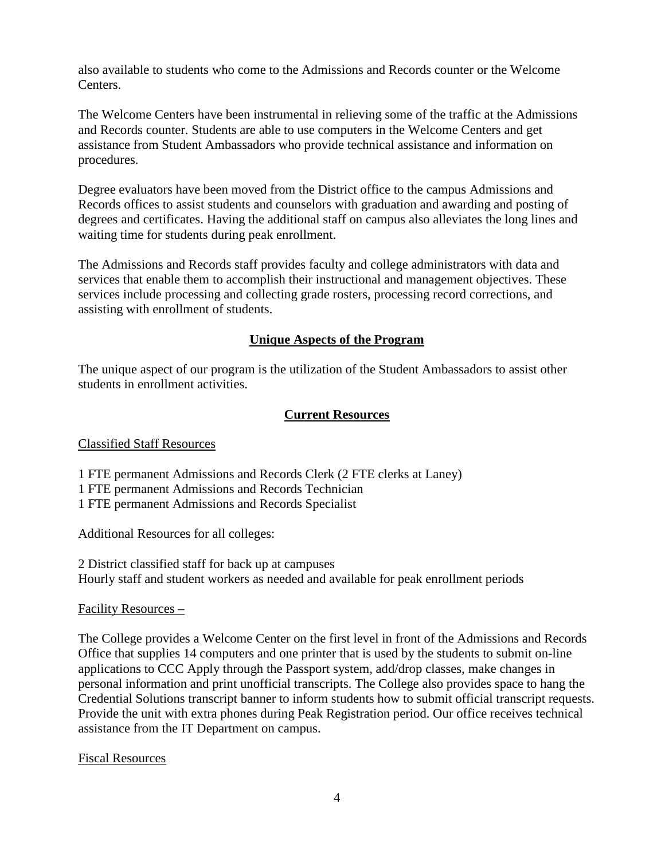also available to students who come to the Admissions and Records counter or the Welcome Centers.

The Welcome Centers have been instrumental in relieving some of the traffic at the Admissions and Records counter. Students are able to use computers in the Welcome Centers and get assistance from Student Ambassadors who provide technical assistance and information on procedures.

Degree evaluators have been moved from the District office to the campus Admissions and Records offices to assist students and counselors with graduation and awarding and posting of degrees and certificates. Having the additional staff on campus also alleviates the long lines and waiting time for students during peak enrollment.

The Admissions and Records staff provides faculty and college administrators with data and services that enable them to accomplish their instructional and management objectives. These services include processing and collecting grade rosters, processing record corrections, and assisting with enrollment of students.

# **Unique Aspects of the Program**

The unique aspect of our program is the utilization of the Student Ambassadors to assist other students in enrollment activities.

### **Current Resources**

#### Classified Staff Resources

1 FTE permanent Admissions and Records Clerk (2 FTE clerks at Laney)

1 FTE permanent Admissions and Records Technician

1 FTE permanent Admissions and Records Specialist

Additional Resources for all colleges:

2 District classified staff for back up at campuses Hourly staff and student workers as needed and available for peak enrollment periods

#### Facility Resources –

The College provides a Welcome Center on the first level in front of the Admissions and Records Office that supplies 14 computers and one printer that is used by the students to submit on-line applications to CCC Apply through the Passport system, add/drop classes, make changes in personal information and print unofficial transcripts. The College also provides space to hang the Credential Solutions transcript banner to inform students how to submit official transcript requests. Provide the unit with extra phones during Peak Registration period. Our office receives technical assistance from the IT Department on campus.

Fiscal Resources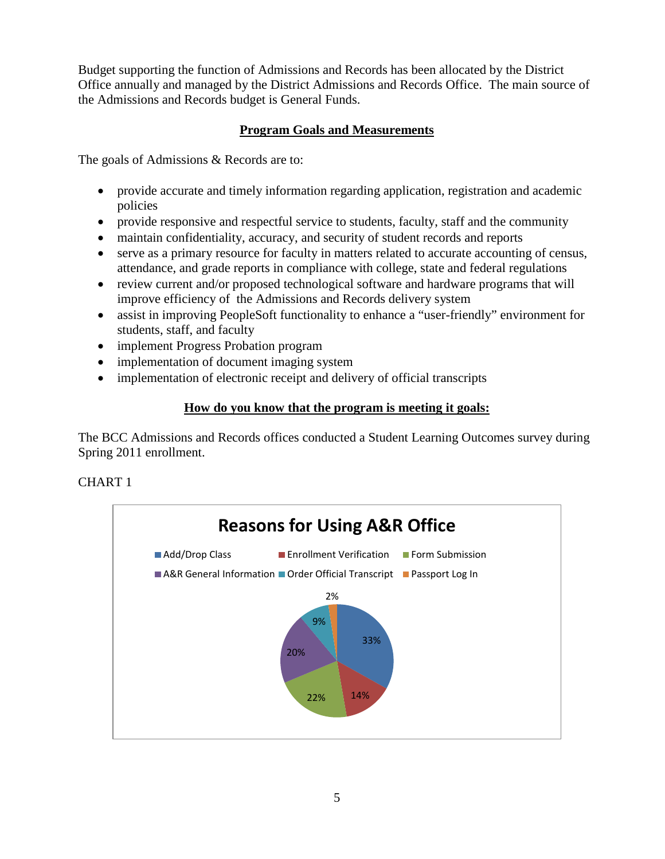Budget supporting the function of Admissions and Records has been allocated by the District Office annually and managed by the District Admissions and Records Office. The main source of the Admissions and Records budget is General Funds.

# **Program Goals and Measurements**

The goals of Admissions & Records are to:

- provide accurate and timely information regarding application, registration and academic policies
- provide responsive and respectful service to students, faculty, staff and the community
- maintain confidentiality, accuracy, and security of student records and reports
- serve as a primary resource for faculty in matters related to accurate accounting of census, attendance, and grade reports in compliance with college, state and federal regulations
- review current and/or proposed technological software and hardware programs that will improve efficiency of the Admissions and Records delivery system
- assist in improving PeopleSoft functionality to enhance a "user-friendly" environment for students, staff, and faculty
- implement Progress Probation program
- implementation of document imaging system
- implementation of electronic receipt and delivery of official transcripts

# **How do you know that the program is meeting it goals:**

The BCC Admissions and Records offices conducted a Student Learning Outcomes survey during Spring 2011 enrollment.

# CHART 1

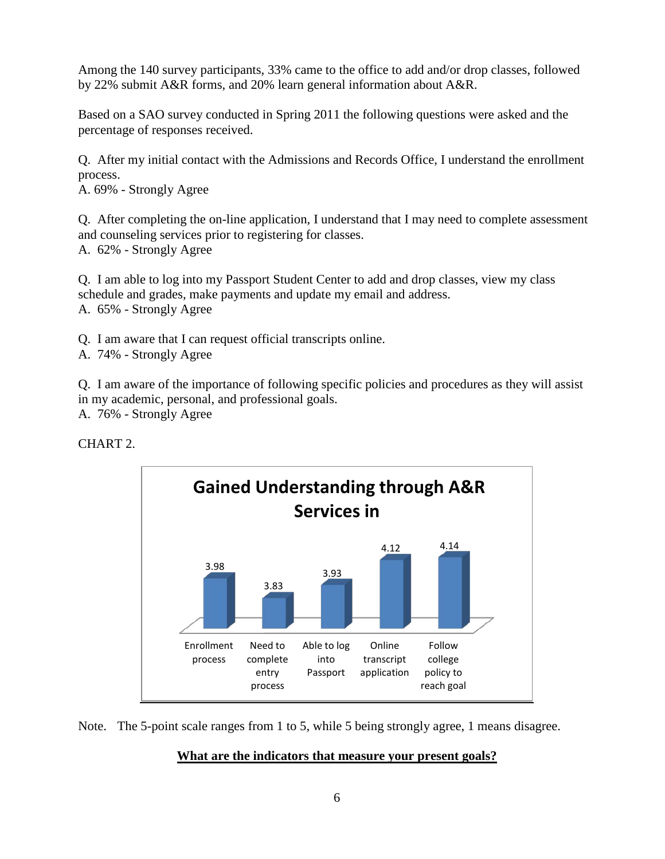Among the 140 survey participants, 33% came to the office to add and/or drop classes, followed by 22% submit A&R forms, and 20% learn general information about A&R.

Based on a SAO survey conducted in Spring 2011 the following questions were asked and the percentage of responses received.

Q. After my initial contact with the Admissions and Records Office, I understand the enrollment process.

A. 69% - Strongly Agree

Q. After completing the on-line application, I understand that I may need to complete assessment and counseling services prior to registering for classes. A. 62% - Strongly Agree

Q. I am able to log into my Passport Student Center to add and drop classes, view my class schedule and grades, make payments and update my email and address. A. 65% - Strongly Agree

Q. I am aware that I can request official transcripts online.

A. 74% - Strongly Agree

Q. I am aware of the importance of following specific policies and procedures as they will assist in my academic, personal, and professional goals. A. 76% - Strongly Agree

CHART 2.



Note. The 5-point scale ranges from 1 to 5, while 5 being strongly agree, 1 means disagree.

#### **What are the indicators that measure your present goals?**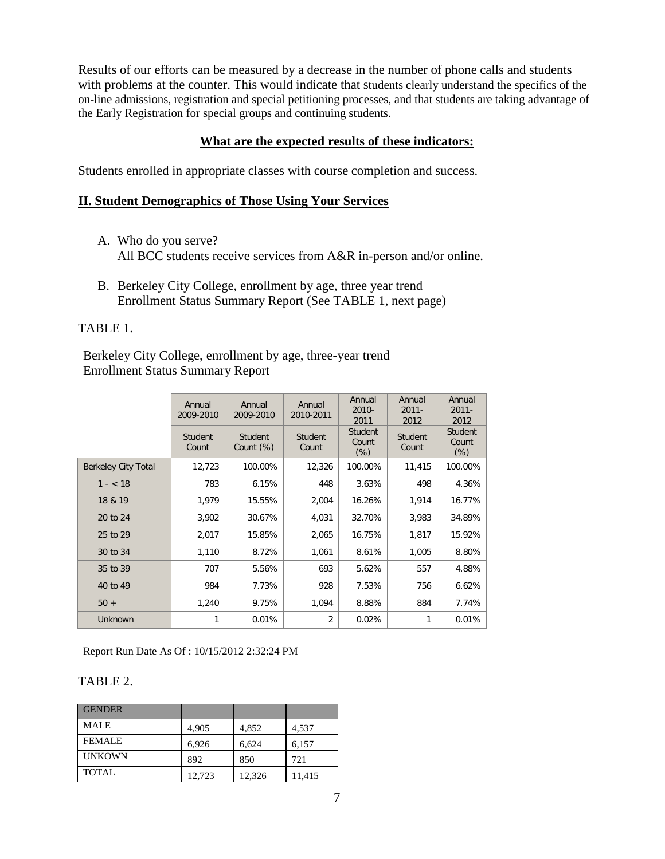Results of our efforts can be measured by a decrease in the number of phone calls and students with problems at the counter. This would indicate that students clearly understand the specifics of the on-line admissions, registration and special petitioning processes, and that students are taking advantage of the Early Registration for special groups and continuing students.

#### **What are the expected results of these indicators:**

Students enrolled in appropriate classes with course completion and success.

#### **II. Student Demographics of Those Using Your Services**

- A. Who do you serve? All BCC students receive services from A&R in-person and/or online.
- B. Berkeley City College, enrollment by age, three year trend Enrollment Status Summary Report (See TABLE 1, next page)

#### TABLE 1.

Berkeley City College, enrollment by age, three-year trend Enrollment Status Summary Report

|                            |                | Annual<br>2009-2010 | Annual<br>2009-2010         | Annual<br>2010-2011 | Annual<br>2010-<br>2011           | Annual<br>$2011 -$<br>2012 | Annual<br>$2011 -$<br>2012        |
|----------------------------|----------------|---------------------|-----------------------------|---------------------|-----------------------------------|----------------------------|-----------------------------------|
|                            |                | Student<br>Count    | <b>Student</b><br>Count (%) | Student<br>Count    | <b>Student</b><br>Count<br>$(\%)$ | <b>Student</b><br>Count    | <b>Student</b><br>Count<br>$(\%)$ |
| <b>Berkeley City Total</b> |                | 12,723              | 100.00%                     | 12,326              | 100.00%                           | 11,415                     | 100.00%                           |
|                            | $1 - < 18$     | 783                 | 6.15%                       | 448                 | 3.63%                             | 498                        | 4.36%                             |
|                            | 18 & 19        | 1,979               | 15.55%                      | 2,004               | 16.26%                            | 1,914                      | 16.77%                            |
|                            | 20 to 24       | 3,902               | 30.67%                      | 4,031               | 32.70%                            | 3,983                      | 34.89%                            |
|                            | 25 to 29       | 2,017               | 15.85%                      | 2,065               | 16.75%                            | 1,817                      | 15.92%                            |
|                            | 30 to 34       | 1,110               | 8.72%                       | 1,061               | 8.61%                             | 1,005                      | 8.80%                             |
|                            | 35 to 39       | 707                 | 5.56%                       | 693                 | 5.62%                             | 557                        | 4.88%                             |
|                            | 40 to 49       | 984                 | 7.73%                       | 928                 | 7.53%                             | 756                        | 6.62%                             |
|                            | $50 +$         | 1,240               | 9.75%                       | 1,094               | 8.88%                             | 884                        | 7.74%                             |
|                            | <b>Unknown</b> | 1                   | 0.01%                       | $\overline{2}$      | 0.02%                             | 1                          | 0.01%                             |

Report Run Date As Of : 10/15/2012 2:32:24 PM

#### TABLE 2.

| <b>GENDER</b> |        |        |        |
|---------------|--------|--------|--------|
| <b>MALE</b>   | 4,905  | 4,852  | 4,537  |
| <b>FEMALE</b> | 6,926  | 6,624  | 6,157  |
| <b>UNKOWN</b> | 892    | 850    | 721    |
| <b>TOTAL</b>  | 12,723 | 12,326 | 11,415 |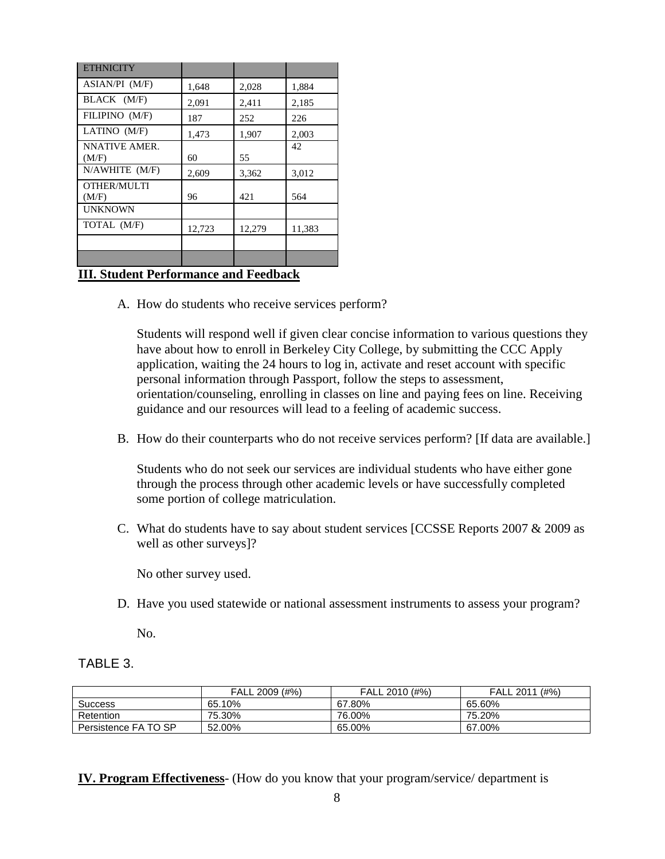| <b>ETHNICITY</b>       |        |        |        |
|------------------------|--------|--------|--------|
| ASIAN/PI (M/F)         | 1,648  | 2,028  | 1,884  |
| BLACK (M/F)            | 2,091  | 2,411  | 2,185  |
| FILIPINO (M/F)         | 187    | 252    | 226    |
| LATINO (M/F)           | 1,473  | 1,907  | 2,003  |
| NNATIVE AMER.<br>(M/F) | 60     | 55     | 42     |
| $N/AWHITE$ $(M/F)$     | 2,609  | 3,362  | 3,012  |
| OTHER/MULTI<br>(M/F)   | 96     | 421    | 564    |
| <b>UNKNOWN</b>         |        |        |        |
| TOTAL (M/F)            | 12,723 | 12,279 | 11,383 |
|                        |        |        |        |
|                        |        |        |        |

### **III. Student Performance and Feedback**

A. How do students who receive services perform?

Students will respond well if given clear concise information to various questions they have about how to enroll in Berkeley City College, by submitting the CCC Apply application, waiting the 24 hours to log in, activate and reset account with specific personal information through Passport, follow the steps to assessment, orientation/counseling, enrolling in classes on line and paying fees on line. Receiving guidance and our resources will lead to a feeling of academic success.

B. How do their counterparts who do not receive services perform? [If data are available.]

Students who do not seek our services are individual students who have either gone through the process through other academic levels or have successfully completed some portion of college matriculation.

C. What do students have to say about student services [CCSSE Reports 2007 & 2009 as well as other surveys]?

No other survey used.

D. Have you used statewide or national assessment instruments to assess your program?

No.

#### TABLE 3.

|                      | FALL 2009 (#%) | FALL 2010 (#%) | (#%)<br><b>FALL 2011</b> |
|----------------------|----------------|----------------|--------------------------|
| <b>Success</b>       | 65.10%         | 67.80%         | 65.60%                   |
| Retention            | 75.30%         | 76.00%         | 75.20%                   |
| Persistence FA TO SP | 52.00%         | 65.00%         | 67.00%                   |

**IV. Program Effectiveness**- (How do you know that your program/service/ department is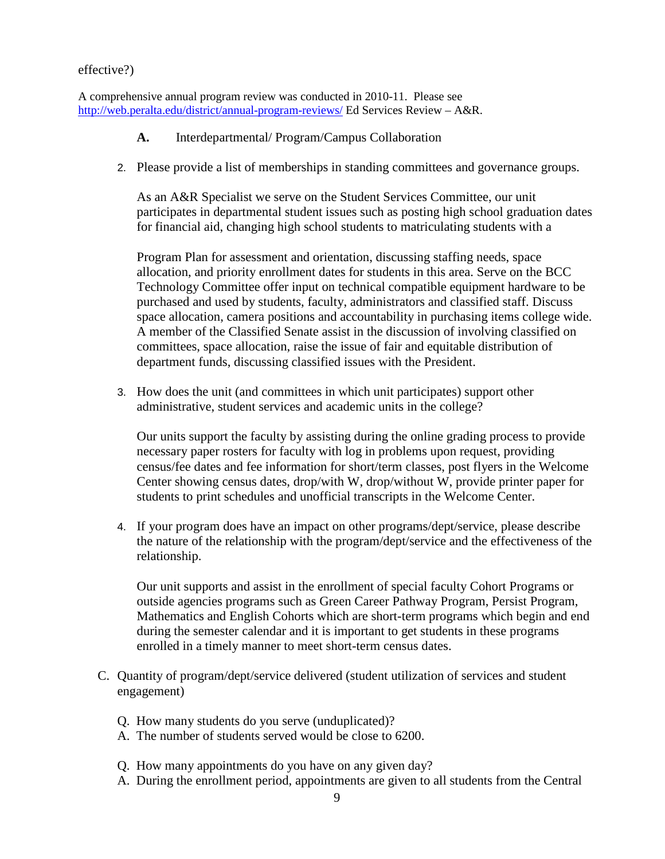#### effective?)

A comprehensive annual program review was conducted in 2010-11. Please see <http://web.peralta.edu/district/annual-program-reviews/> Ed Services Review – A&R.

- **A.** Interdepartmental/ Program/Campus Collaboration
- 2. Please provide a list of memberships in standing committees and governance groups.

As an A&R Specialist we serve on the Student Services Committee, our unit participates in departmental student issues such as posting high school graduation dates for financial aid, changing high school students to matriculating students with a

Program Plan for assessment and orientation, discussing staffing needs, space allocation, and priority enrollment dates for students in this area. Serve on the BCC Technology Committee offer input on technical compatible equipment hardware to be purchased and used by students, faculty, administrators and classified staff. Discuss space allocation, camera positions and accountability in purchasing items college wide. A member of the Classified Senate assist in the discussion of involving classified on committees, space allocation, raise the issue of fair and equitable distribution of department funds, discussing classified issues with the President.

3. How does the unit (and committees in which unit participates) support other administrative, student services and academic units in the college?

Our units support the faculty by assisting during the online grading process to provide necessary paper rosters for faculty with log in problems upon request, providing census/fee dates and fee information for short/term classes, post flyers in the Welcome Center showing census dates, drop/with W, drop/without W, provide printer paper for students to print schedules and unofficial transcripts in the Welcome Center.

4. If your program does have an impact on other programs/dept/service, please describe the nature of the relationship with the program/dept/service and the effectiveness of the relationship.

Our unit supports and assist in the enrollment of special faculty Cohort Programs or outside agencies programs such as Green Career Pathway Program, Persist Program, Mathematics and English Cohorts which are short-term programs which begin and end during the semester calendar and it is important to get students in these programs enrolled in a timely manner to meet short-term census dates.

- C. Quantity of program/dept/service delivered (student utilization of services and student engagement)
	- Q. How many students do you serve (unduplicated)?
	- A. The number of students served would be close to 6200.
	- Q. How many appointments do you have on any given day?
	- A. During the enrollment period, appointments are given to all students from the Central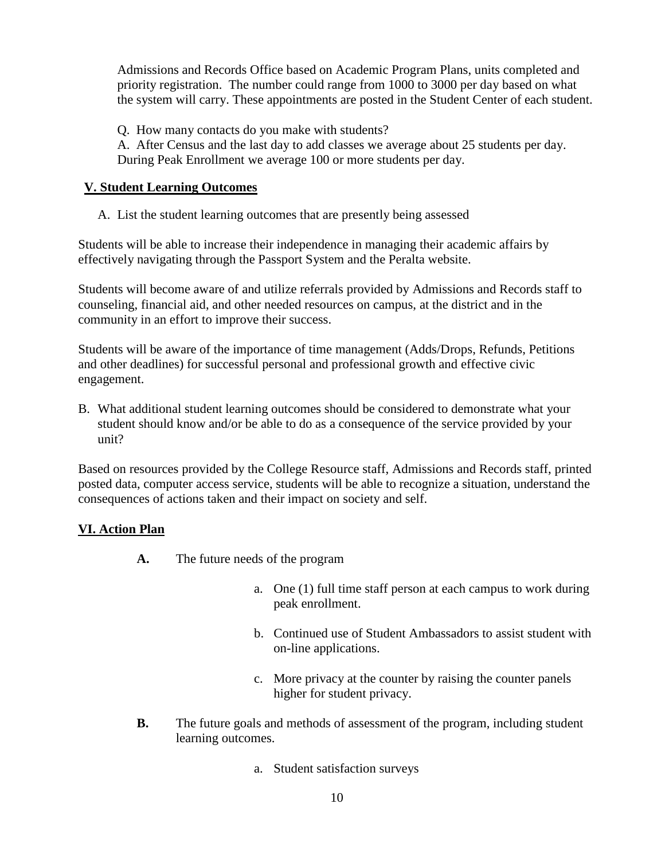Admissions and Records Office based on Academic Program Plans, units completed and priority registration. The number could range from 1000 to 3000 per day based on what the system will carry. These appointments are posted in the Student Center of each student.

Q. How many contacts do you make with students? A. After Census and the last day to add classes we average about 25 students per day. During Peak Enrollment we average 100 or more students per day.

## **V. Student Learning Outcomes**

A. List the student learning outcomes that are presently being assessed

Students will be able to increase their independence in managing their academic affairs by effectively navigating through the Passport System and the Peralta website.

Students will become aware of and utilize referrals provided by Admissions and Records staff to counseling, financial aid, and other needed resources on campus, at the district and in the community in an effort to improve their success.

Students will be aware of the importance of time management (Adds/Drops, Refunds, Petitions and other deadlines) for successful personal and professional growth and effective civic engagement.

B. What additional student learning outcomes should be considered to demonstrate what your student should know and/or be able to do as a consequence of the service provided by your unit?

Based on resources provided by the College Resource staff, Admissions and Records staff, printed posted data, computer access service, students will be able to recognize a situation, understand the consequences of actions taken and their impact on society and self.

# **VI. Action Plan**

- **A.** The future needs of the program
	- a. One (1) full time staff person at each campus to work during peak enrollment.
	- b. Continued use of Student Ambassadors to assist student with on-line applications.
	- c. More privacy at the counter by raising the counter panels higher for student privacy.
- **B.** The future goals and methods of assessment of the program, including student learning outcomes.
	- a. Student satisfaction surveys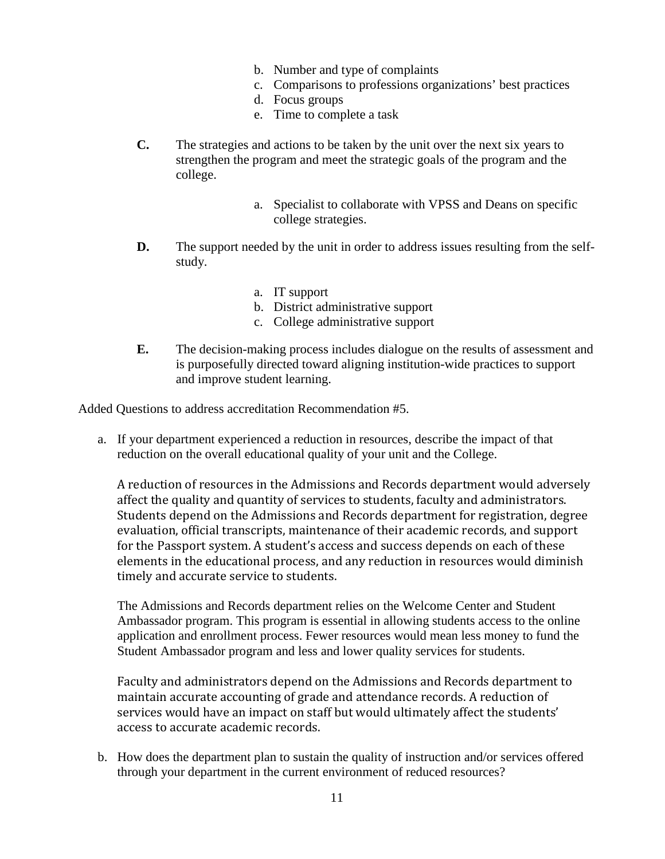- b. Number and type of complaints
- c. Comparisons to professions organizations' best practices
- d. Focus groups
- e. Time to complete a task
- **C.** The strategies and actions to be taken by the unit over the next six years to strengthen the program and meet the strategic goals of the program and the college.
	- a. Specialist to collaborate with VPSS and Deans on specific college strategies.
- **D.** The support needed by the unit in order to address issues resulting from the selfstudy.
	- a. IT support
	- b. District administrative support
	- c. College administrative support
- **E.** The decision-making process includes dialogue on the results of assessment and is purposefully directed toward aligning institution-wide practices to support and improve student learning.

Added Questions to address accreditation Recommendation #5.

a. If your department experienced a reduction in resources, describe the impact of that reduction on the overall educational quality of your unit and the College.

A reduction of resources in the Admissions and Records department would adversely affect the quality and quantity of services to students, faculty and administrators. Students depend on the Admissions and Records department for registration, degree evaluation, official transcripts, maintenance of their academic records, and support for the Passport system. A student's access and success depends on each of these elements in the educational process, and any reduction in resources would diminish timely and accurate service to students.

The Admissions and Records department relies on the Welcome Center and Student Ambassador program. This program is essential in allowing students access to the online application and enrollment process. Fewer resources would mean less money to fund the Student Ambassador program and less and lower quality services for students.

Faculty and administrators depend on the Admissions and Records department to maintain accurate accounting of grade and attendance records. A reduction of services would have an impact on staff but would ultimately affect the students' access to accurate academic records.

b. How does the department plan to sustain the quality of instruction and/or services offered through your department in the current environment of reduced resources?